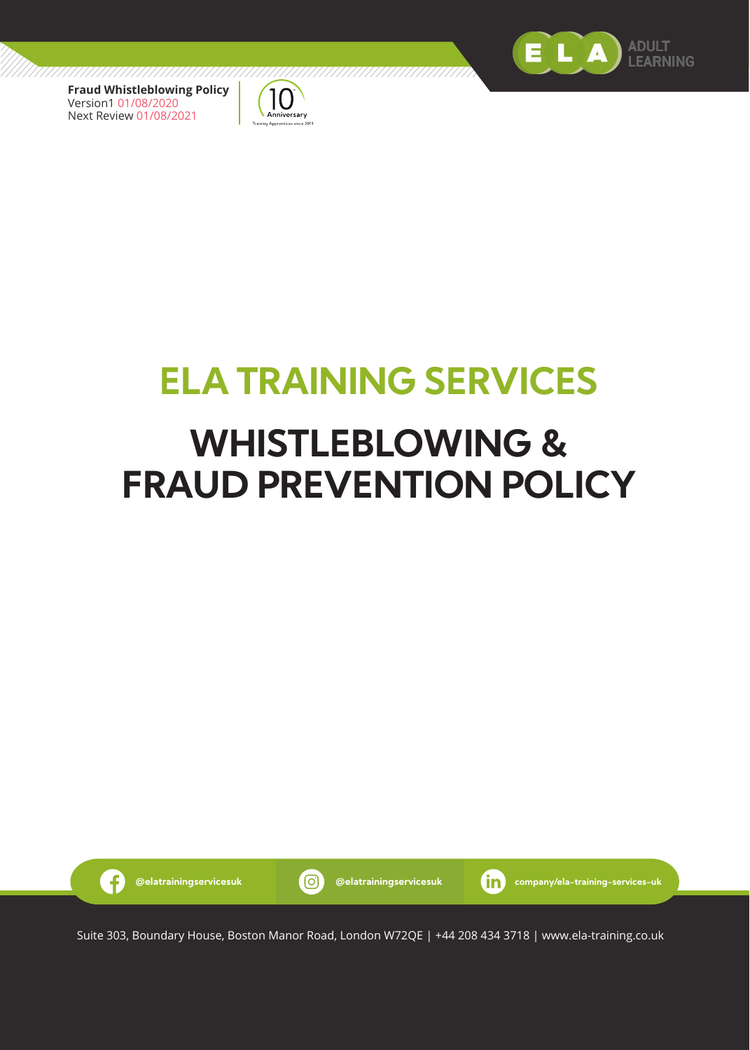

 $\cdot$  f



# **ELA TRAINING SERVICES**

# **WHISTLEBLOWING & FRAUD PREVENTION POLICY**

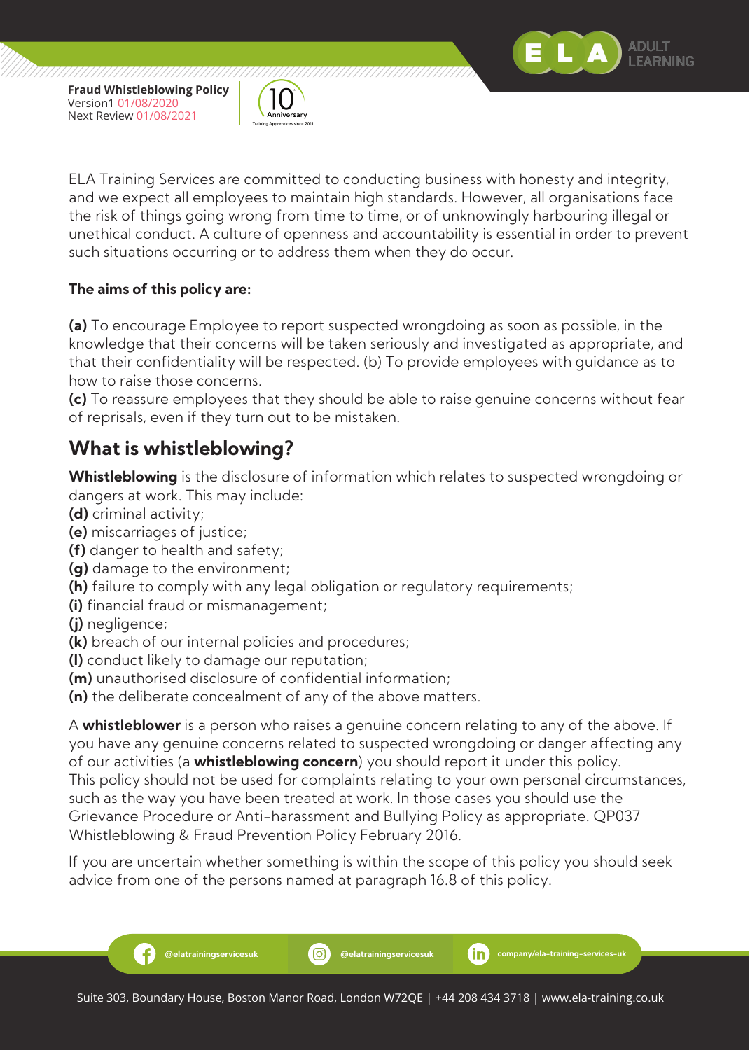

ELA Training Services are committed to conducting business with honesty and integrity, and we expect all employees to maintain high standards. However, all organisations face the risk of things going wrong from time to time, or of unknowingly harbouring illegal or unethical conduct. A culture of openness and accountability is essential in order to prevent such situations occurring or to address them when they do occur.

**ADULT FARNING** 

#### **The aims of this policy are:**

**(a)** To encourage Employee to report suspected wrongdoing as soon as possible, in the knowledge that their concerns will be taken seriously and investigated as appropriate, and that their confidentiality will be respected. (b) To provide employees with guidance as to how to raise those concerns.

**(c)** To reassure employees that they should be able to raise genuine concerns without fear of reprisals, even if they turn out to be mistaken.

# **What is whistleblowing?**

**Whistleblowing** is the disclosure of information which relates to suspected wrongdoing or dangers at work. This may include:

- **(d)** criminal activity;
- **(e)** miscarriages of justice;
- **(f)** danger to health and safety;
- **(g)** damage to the environment;
- **(h)** failure to comply with any legal obligation or regulatory requirements;
- **(i)** financial fraud or mismanagement;
- **(j)** negligence;

Ŧ

- **(k)** breach of our internal policies and procedures;
- **(l)** conduct likely to damage our reputation;
- **(m)** unauthorised disclosure of confidential information;
- **(n)** the deliberate concealment of any of the above matters.

A **whistleblower** is a person who raises a genuine concern relating to any of the above. If you have any genuine concerns related to suspected wrongdoing or danger affecting any of our activities (a **whistleblowing concern**) you should report it under this policy. This policy should not be used for complaints relating to your own personal circumstances, such as the way you have been treated at work. In those cases you should use the Grievance Procedure or Anti-harassment and Bullying Policy as appropriate. QP037 Whistleblowing & Fraud Prevention Policy February 2016.

If you are uncertain whether something is within the scope of this policy you should seek advice from one of the persons named at paragraph 16.8 of this policy.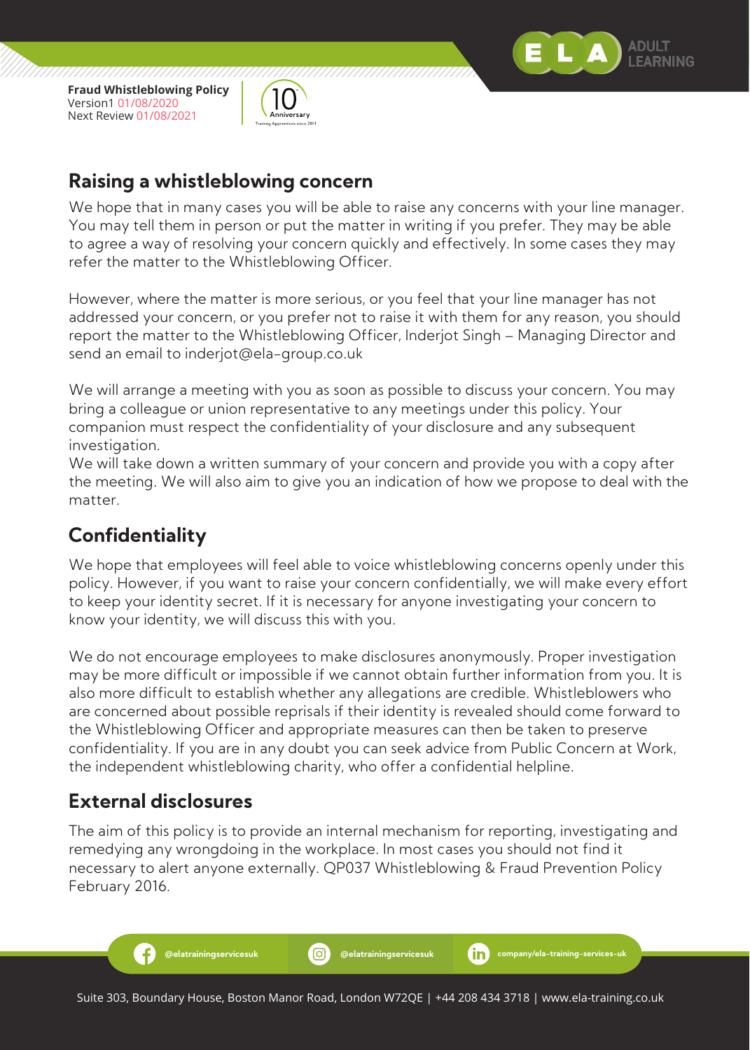



#### **Raising a whistleblowing concern**

We hope that in many cases you will be able to raise any concerns with your line manager. You may tell them in person or put the matter in writing if you prefer. They may be able to agree a way of resolving your concern quickly and effectively. In some cases they may refer the matter to the Whistleblowing Officer.

However, where the matter is more serious, or you feel that your line manager has not addressed your concern, or you prefer not to raise it with them for any reason, you should report the matter to the Whistleblowing Officer, Inderjot Singh – Managing Director and send an email to inderjot@ela-group.co.uk

We will arrange a meeting with you as soon as possible to discuss your concern. You may bring a colleague or union representative to any meetings under this policy. Your companion must respect the confidentiality of your disclosure and any subsequent investigation.

We will take down a written summary of your concern and provide you with a copy after the meeting. We will also aim to give you an indication of how we propose to deal with the matter.

# **Confidentiality**

We hope that employees will feel able to voice whistleblowing concerns openly under this policy. However, if you want to raise your concern confidentially, we will make every effort to keep your identity secret. If it is necessary for anyone investigating your concern to know your identity, we will discuss this with you.

We do not encourage employees to make disclosures anonymously. Proper investigation may be more difficult or impossible if we cannot obtain further information from you. It is also more difficult to establish whether any allegations are credible. Whistleblowers who are concerned about possible reprisals if their identity is revealed should come forward to the Whistleblowing Officer and appropriate measures can then be taken to preserve confidentiality. If you are in any doubt you can seek advice from Public Concern at Work, the independent whistleblowing charity, who offer a confidential helpline.

# **External disclosures**

Æ

The aim of this policy is to provide an internal mechanism for reporting, investigating and remedying any wrongdoing in the workplace. In most cases you should not find it necessary to alert anyone externally. QP037 Whistleblowing & Fraud Prevention Policy February 2016.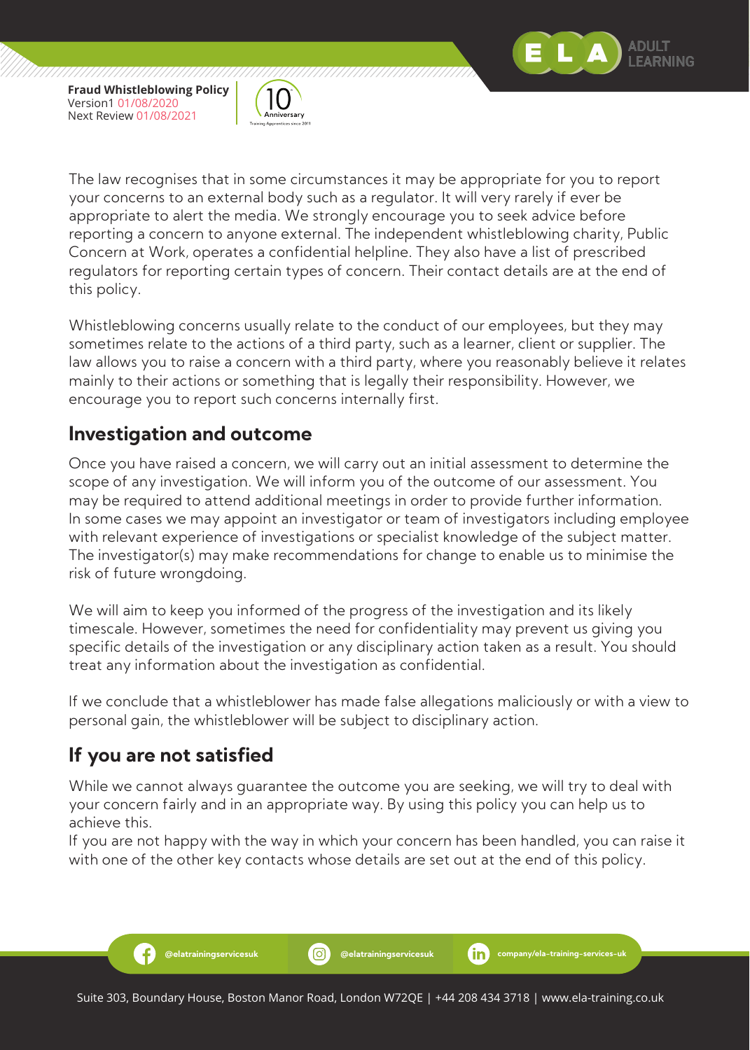

,,,,,,,,,,,,,,,,,,,,,,,,,,,,,,,,,,,,,,



The law recognises that in some circumstances it may be appropriate for you to report your concerns to an external body such as a regulator. It will very rarely if ever be appropriate to alert the media. We strongly encourage you to seek advice before reporting a concern to anyone external. The independent whistleblowing charity, Public Concern at Work, operates a confidential helpline. They also have a list of prescribed regulators for reporting certain types of concern. Their contact details are at the end of this policy.

Whistleblowing concerns usually relate to the conduct of our employees, but they may sometimes relate to the actions of a third party, such as a learner, client or supplier. The law allows you to raise a concern with a third party, where you reasonably believe it relates mainly to their actions or something that is legally their responsibility. However, we encourage you to report such concerns internally first.

# **Investigation and outcome**

Once you have raised a concern, we will carry out an initial assessment to determine the scope of any investigation. We will inform you of the outcome of our assessment. You may be required to attend additional meetings in order to provide further information. In some cases we may appoint an investigator or team of investigators including employee with relevant experience of investigations or specialist knowledge of the subject matter. The investigator(s) may make recommendations for change to enable us to minimise the risk of future wrongdoing.

We will aim to keep you informed of the progress of the investigation and its likely timescale. However, sometimes the need for confidentiality may prevent us giving you specific details of the investigation or any disciplinary action taken as a result. You should treat any information about the investigation as confidential.

If we conclude that a whistleblower has made false allegations maliciously or with a view to personal gain, the whistleblower will be subject to disciplinary action.

# **If you are not satisfied**

Ð

While we cannot always guarantee the outcome you are seeking, we will try to deal with your concern fairly and in an appropriate way. By using this policy you can help us to achieve this.

If you are not happy with the way in which your concern has been handled, you can raise it with one of the other key contacts whose details are set out at the end of this policy.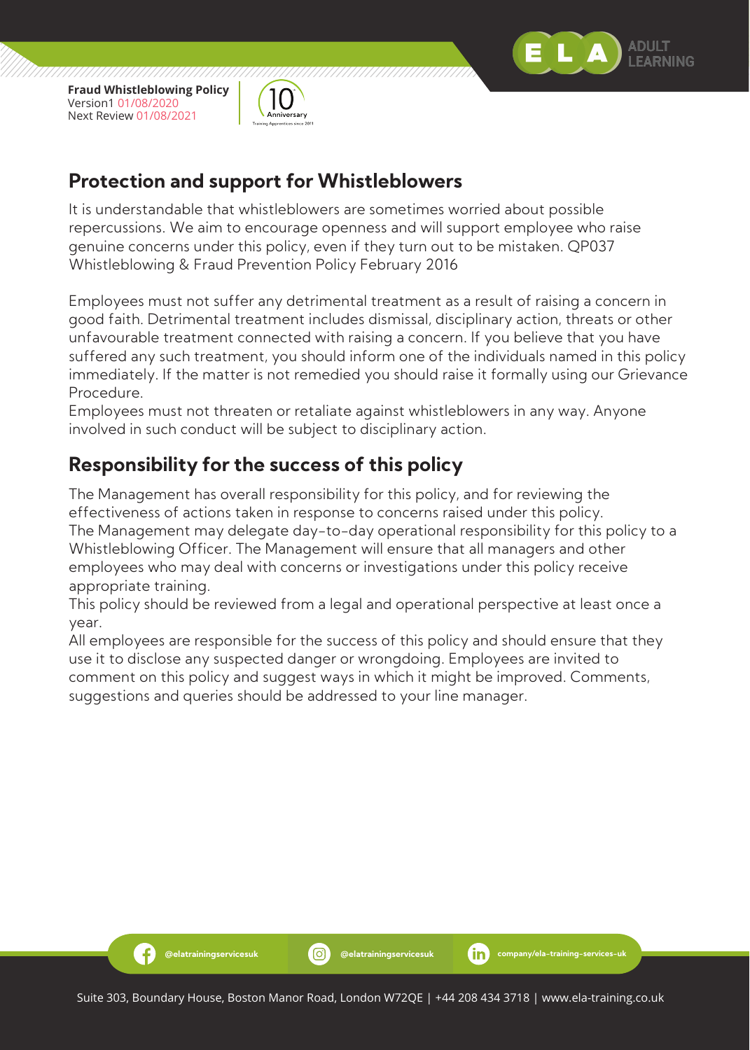

-6

,,,,,,,,,,,,,,,,,,,,,,,,,,,,,,,,,,,,,



# **Protection and support for Whistleblowers**

It is understandable that whistleblowers are sometimes worried about possible repercussions. We aim to encourage openness and will support employee who raise genuine concerns under this policy, even if they turn out to be mistaken. QP037 Whistleblowing & Fraud Prevention Policy February 2016

Employees must not suffer any detrimental treatment as a result of raising a concern in good faith. Detrimental treatment includes dismissal, disciplinary action, threats or other unfavourable treatment connected with raising a concern. If you believe that you have suffered any such treatment, you should inform one of the individuals named in this policy immediately. If the matter is not remedied you should raise it formally using our Grievance Procedure.

Employees must not threaten or retaliate against whistleblowers in any way. Anyone involved in such conduct will be subject to disciplinary action.

# **Responsibility for the success of this policy**

The Management has overall responsibility for this policy, and for reviewing the effectiveness of actions taken in response to concerns raised under this policy. The Management may delegate day-to-day operational responsibility for this policy to a Whistleblowing Officer. The Management will ensure that all managers and other employees who may deal with concerns or investigations under this policy receive appropriate training.

This policy should be reviewed from a legal and operational perspective at least once a year.

All employees are responsible for the success of this policy and should ensure that they use it to disclose any suspected danger or wrongdoing. Employees are invited to comment on this policy and suggest ways in which it might be improved. Comments, suggestions and queries should be addressed to your line manager.